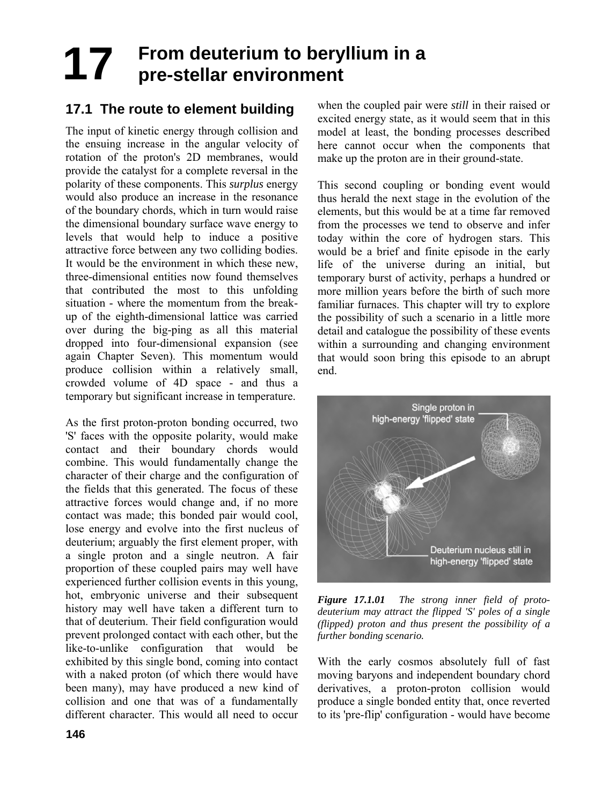# **17** From deuterium to beryllium in a<br>**17 pro-stellar environment pre-stellar environment**

## **17.1 The route to element building**

The input of kinetic energy through collision and the ensuing increase in the angular velocity of rotation of the proton's 2D membranes, would provide the catalyst for a complete reversal in the polarity of these components. This *surplus* energy would also produce an increase in the resonance of the boundary chords, which in turn would raise the dimensional boundary surface wave energy to levels that would help to induce a positive attractive force between any two colliding bodies. It would be the environment in which these new, three-dimensional entities now found themselves that contributed the most to this unfolding situation - where the momentum from the breakup of the eighth-dimensional lattice was carried over during the big-ping as all this material dropped into four-dimensional expansion (see again Chapter Seven). This momentum would produce collision within a relatively small, crowded volume of 4D space - and thus a temporary but significant increase in temperature.

As the first proton-proton bonding occurred, two 'S' faces with the opposite polarity, would make contact and their boundary chords would combine. This would fundamentally change the character of their charge and the configuration of the fields that this generated. The focus of these attractive forces would change and, if no more contact was made; this bonded pair would cool, lose energy and evolve into the first nucleus of deuterium; arguably the first element proper, with a single proton and a single neutron. A fair proportion of these coupled pairs may well have experienced further collision events in this young, hot, embryonic universe and their subsequent history may well have taken a different turn to that of deuterium. Their field configuration would prevent prolonged contact with each other, but the like-to-unlike configuration that would be exhibited by this single bond, coming into contact with a naked proton (of which there would have been many), may have produced a new kind of collision and one that was of a fundamentally different character. This would all need to occur

when the coupled pair were *still* in their raised or excited energy state, as it would seem that in this model at least, the bonding processes described here cannot occur when the components that make up the proton are in their ground-state.

This second coupling or bonding event would thus herald the next stage in the evolution of the elements, but this would be at a time far removed from the processes we tend to observe and infer today within the core of hydrogen stars. This would be a brief and finite episode in the early life of the universe during an initial, but temporary burst of activity, perhaps a hundred or more million years before the birth of such more familiar furnaces. This chapter will try to explore the possibility of such a scenario in a little more detail and catalogue the possibility of these events within a surrounding and changing environment that would soon bring this episode to an abrupt end.



*Figure 17.1.01 The strong inner field of protodeuterium may attract the flipped 'S' poles of a single (flipped) proton and thus present the possibility of a further bonding scenario.* 

With the early cosmos absolutely full of fast moving baryons and independent boundary chord derivatives, a proton-proton collision would produce a single bonded entity that, once reverted to its 'pre-flip' configuration - would have become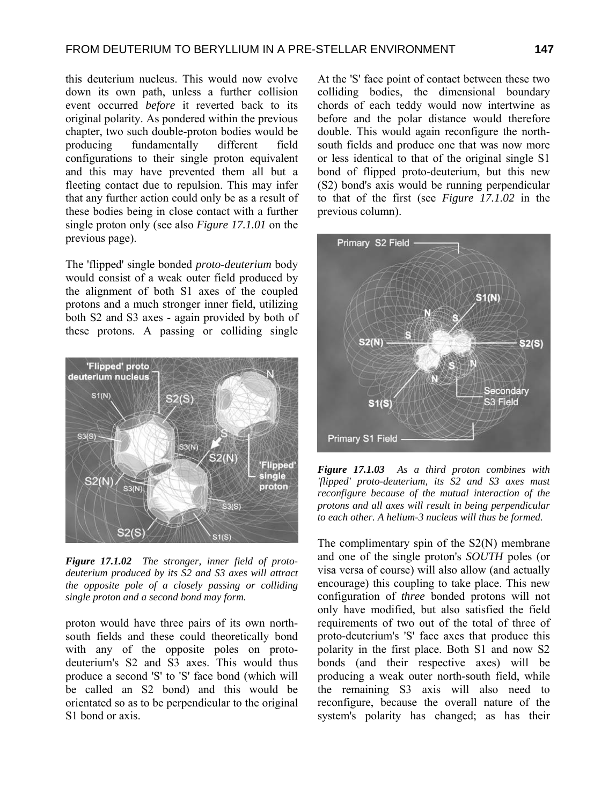this deuterium nucleus. This would now evolve down its own path, unless a further collision event occurred *before* it reverted back to its original polarity. As pondered within the previous chapter, two such double-proton bodies would be producing fundamentally different field configurations to their single proton equivalent and this may have prevented them all but a fleeting contact due to repulsion. This may infer that any further action could only be as a result of these bodies being in close contact with a further single proton only (see also *Figure 17.1.01* on the previous page).

The 'flipped' single bonded *proto-deuterium* body would consist of a weak outer field produced by the alignment of both S1 axes of the coupled protons and a much stronger inner field, utilizing both S2 and S3 axes - again provided by both of these protons. A passing or colliding single



*Figure 17.1.02 The stronger, inner field of protodeuterium produced by its S2 and S3 axes will attract the opposite pole of a closely passing or colliding single proton and a second bond may form.* 

proton would have three pairs of its own northsouth fields and these could theoretically bond with any of the opposite poles on protodeuterium's S2 and S3 axes. This would thus produce a second 'S' to 'S' face bond (which will be called an S2 bond) and this would be orientated so as to be perpendicular to the original S1 bond or axis.

At the 'S' face point of contact between these two colliding bodies, the dimensional boundary chords of each teddy would now intertwine as before and the polar distance would therefore double. This would again reconfigure the northsouth fields and produce one that was now more or less identical to that of the original single S1 bond of flipped proto-deuterium, but this new (S2) bond's axis would be running perpendicular to that of the first (see *Figure 17.1.02* in the previous column).



*Figure 17.1.03 As a third proton combines with 'flipped' proto-deuterium, its S2 and S3 axes must reconfigure because of the mutual interaction of the protons and all axes will result in being perpendicular to each other. A helium-3 nucleus will thus be formed.* 

The complimentary spin of the S2(N) membrane and one of the single proton's *SOUTH* poles (or visa versa of course) will also allow (and actually encourage) this coupling to take place. This new configuration of *three* bonded protons will not only have modified, but also satisfied the field requirements of two out of the total of three of proto-deuterium's 'S' face axes that produce this polarity in the first place. Both S1 and now S2 bonds (and their respective axes) will be producing a weak outer north-south field, while the remaining S3 axis will also need to reconfigure, because the overall nature of the system's polarity has changed; as has their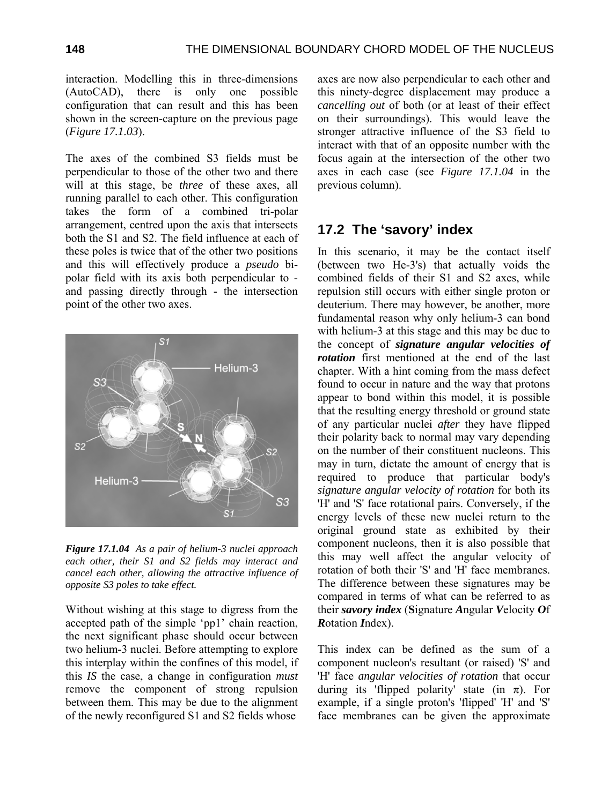interaction. Modelling this in three-dimensions (AutoCAD), there is only one possible configuration that can result and this has been shown in the screen-capture on the previous page (*Figure 17.1.03*).

The axes of the combined S3 fields must be perpendicular to those of the other two and there will at this stage, be *three* of these axes, all running parallel to each other. This configuration takes the form of a combined tri-polar arrangement, centred upon the axis that intersects both the S1 and S2. The field influence at each of these poles is twice that of the other two positions and this will effectively produce a *pseudo* bipolar field with its axis both perpendicular to and passing directly through - the intersection point of the other two axes.



*Figure 17.1.04 As a pair of helium-3 nuclei approach each other, their S1 and S2 fields may interact and cancel each other, allowing the attractive influence of opposite S3 poles to take effect.* 

Without wishing at this stage to digress from the accepted path of the simple 'pp1' chain reaction, the next significant phase should occur between two helium-3 nuclei. Before attempting to explore this interplay within the confines of this model, if this *IS* the case, a change in configuration *must* remove the component of strong repulsion between them. This may be due to the alignment of the newly reconfigured S1 and S2 fields whose

axes are now also perpendicular to each other and this ninety-degree displacement may produce a *cancelling out* of both (or at least of their effect on their surroundings). This would leave the stronger attractive influence of the S3 field to interact with that of an opposite number with the focus again at the intersection of the other two axes in each case (see *Figure 17.1.04* in the previous column).

### **17.2 The 'savory' index**

In this scenario, it may be the contact itself (between two He-3's) that actually voids the combined fields of their S1 and S2 axes, while repulsion still occurs with either single proton or deuterium. There may however, be another, more fundamental reason why only helium-3 can bond with helium-3 at this stage and this may be due to the concept of *signature angular velocities of rotation* first mentioned at the end of the last chapter. With a hint coming from the mass defect found to occur in nature and the way that protons appear to bond within this model, it is possible that the resulting energy threshold or ground state of any particular nuclei *after* they have flipped their polarity back to normal may vary depending on the number of their constituent nucleons. This may in turn, dictate the amount of energy that is required to produce that particular body's *signature angular velocity of rotation* for both its 'H' and 'S' face rotational pairs. Conversely, if the energy levels of these new nuclei return to the original ground state as exhibited by their component nucleons, then it is also possible that this may well affect the angular velocity of rotation of both their 'S' and 'H' face membranes. The difference between these signatures may be compared in terms of what can be referred to as their *savory index* (**S**ignature *A*ngular *V*elocity *O*f *R*otation *I*ndex).

This index can be defined as the sum of a component nucleon's resultant (or raised) 'S' and 'H' face *angular velocities of rotation* that occur during its 'flipped polarity' state (in  $\pi$ ). For example, if a single proton's 'flipped' 'H' and 'S' face membranes can be given the approximate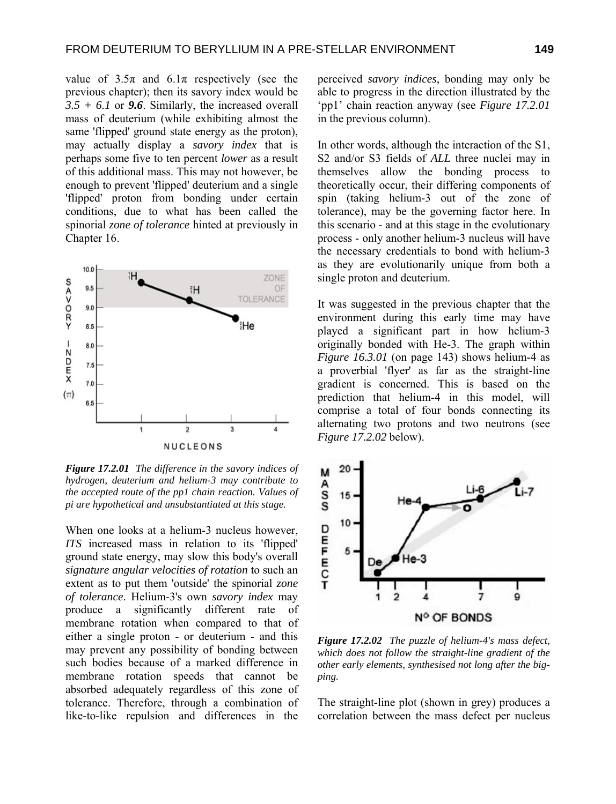value of  $3.5\pi$  and  $6.1\pi$  respectively (see the previous chapter); then its savory index would be *3.5 + 6.1* or *9.6*. Similarly, the increased overall mass of deuterium (while exhibiting almost the same 'flipped' ground state energy as the proton), may actually display a *savory index* that is perhaps some five to ten percent *lower* as a result of this additional mass. This may not however, be enough to prevent 'flipped' deuterium and a single 'flipped' proton from bonding under certain conditions, due to what has been called the spinorial *zone of tolerance* hinted at previously in Chapter 16.



*Figure 17.2.01 The difference in the savory indices of hydrogen, deuterium and helium-3 may contribute to the accepted route of the pp1 chain reaction. Values of pi are hypothetical and unsubstantiated at this stage.* 

When one looks at a helium-3 nucleus however, *ITS* increased mass in relation to its 'flipped' ground state energy, may slow this body's overall *signature angular velocities of rotation* to such an extent as to put them 'outside' the spinorial *zone of tolerance*. Helium-3's own *savory index* may produce a significantly different rate of membrane rotation when compared to that of either a single proton - or deuterium - and this may prevent any possibility of bonding between such bodies because of a marked difference in membrane rotation speeds that cannot be absorbed adequately regardless of this zone of tolerance. Therefore, through a combination of like-to-like repulsion and differences in the

perceived *savory indices*, bonding may only be able to progress in the direction illustrated by the 'pp1' chain reaction anyway (see *Figure 17.2.01* in the previous column).

In other words, although the interaction of the S1, S2 and/or S3 fields of *ALL* three nuclei may in themselves allow the bonding process to theoretically occur, their differing components of spin (taking helium-3 out of the zone of tolerance), may be the governing factor here. In this scenario - and at this stage in the evolutionary process - only another helium-3 nucleus will have the necessary credentials to bond with helium-3 as they are evolutionarily unique from both a single proton and deuterium.

It was suggested in the previous chapter that the environment during this early time may have played a significant part in how helium-3 originally bonded with He-3. The graph within *Figure 16.3.01* (on page 143) shows helium-4 as a proverbial 'flyer' as far as the straight-line gradient is concerned. This is based on the prediction that helium-4 in this model, will comprise a total of four bonds connecting its alternating two protons and two neutrons (see *Figure 17.2.02* below).



*Figure 17.2.02 The puzzle of helium-4's mass defect, which does not follow the straight-line gradient of the other early elements, synthesised not long after the bigping.* 

The straight-line plot (shown in grey) produces a correlation between the mass defect per nucleus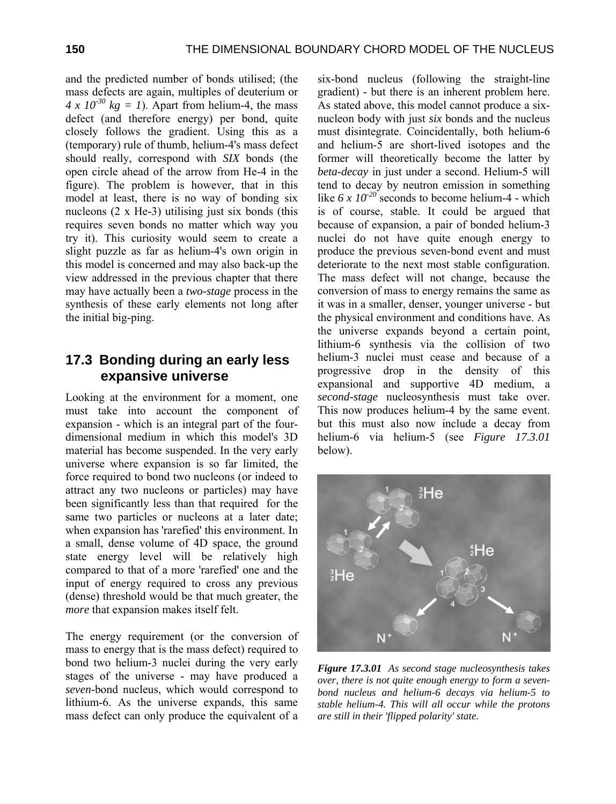and the predicted number of bonds utilised; (the mass defects are again, multiples of deuterium or *4 x 10<sup>-30</sup> kg = 1*). Apart from helium-4, the mass defect (and therefore energy) per bond, quite closely follows the gradient. Using this as a (temporary) rule of thumb, helium-4's mass defect should really, correspond with *SIX* bonds (the open circle ahead of the arrow from He-4 in the figure). The problem is however, that in this model at least, there is no way of bonding six nucleons  $(2 \times He-3)$  utilising just six bonds (this requires seven bonds no matter which way you try it). This curiosity would seem to create a slight puzzle as far as helium-4's own origin in this model is concerned and may also back-up the view addressed in the previous chapter that there may have actually been a *two-stage* process in the synthesis of these early elements not long after the initial big-ping.

#### **17.3 B onding during an early less expansive universe**

Looking at the environment for a moment, one must take into account the component of expansion - which is an integral part of the fourdimensional medium in which this model's 3D material has become suspended. In the very early universe where expansion is so far limited, the force required to bond two nucleons (or indeed to attract any two nucleons or particles) may have been significantly less than that required for the same two particles or nucleons at a later date; when expansion has 'rarefied' this environment. In a small, dense volume of 4D space, the ground state energy level will be relatively high compared to that of a more 'rarefied' one and the input of energy required to cross any previous (dense) threshold would be that much greater, the *more* that expansion makes itself felt.

The energy requirement (or the conversion of mass to energy that is the mass defect) required to bond two helium-3 nuclei during the very early stages of the universe - may have produced a *seven-*bond nucleus, which would correspond to lithium-6. As the universe expands, this same mass defect can only produce the equivalent of a

six-bond nucleus (following the straight-line gradient) - but there is an inherent problem here. As stated above, this model cannot produce a sixnucleon body with just *six* bonds and the nucleus must disintegrate. Coincidentally, both helium-6 and helium-5 are short-lived isotopes and the former will theoretically become the latter by *beta-decay* in just under a second. Helium-5 will tend to decay by neutron emission in something like  $6 \times 10^{-20}$  seconds to become helium-4 - which is of course, stable. It could be argued that because of expansion, a pair of bonded helium-3 nuclei do not have quite enough energy to produce the previous seven-bond event and must deteriorate to the next most stable configuration. The mass defect will not change, because the conversion of mass to energy remains the same as it was in a smaller, denser, younger universe - but the physical environment and conditions have. As the universe expands beyond a certain point, lithium-6 synthesis via the collision of two helium-3 nuclei must cease and because of a progressive drop in the density of this expansional and supportive 4D medium, a *second-stage* nucleosynthesis must take over. This now produces helium-4 by the same event. but this must also now include a decay from helium-6 via helium-5 (see *Figure 17.3.01* below).



*Figure 17.3.01 As second stage nucleosynthesis takes over, there is not quite enough energy to form a sevenbond nucleus and helium-6 decays via helium-5 to stable helium-4. This will all occur while the protons are still in their 'flipped polarity' state.*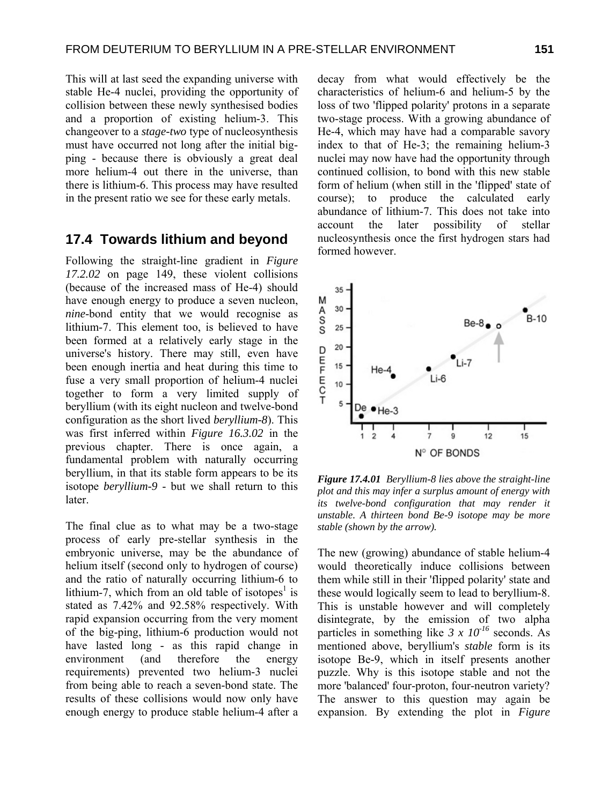This will at last seed the expanding universe with stable He-4 nuclei, providing the opportunity of collision between these newly synthesised bodies and a proportion of existing helium-3. This changeover to a *stage-two* type of nucleosynthesis must have occurred not long after the initial bigping - because there is obviously a great deal more helium-4 out there in the universe, than there is lithium-6. This process may have resulted in the present ratio we see for these early metals.

#### **17.4 Towards lithium and beyond**

Following the straight-line gradient in *Figure 17.2.02* on page 149, these violent collisions (because of the increased mass of He-4) should have enough energy to produce a seven nucleon, *nine*-bond entity that we would recognise as lithium-7. This element too, is believed to have been formed at a relatively early stage in the universe's history. There may still, even have been enough inertia and heat during this time to fuse a very small proportion of helium-4 nuclei together to form a very limited supply of beryllium (with its eight nucleon and twelve-bond configuration as the short lived *beryllium-8*). This was first inferred within *Figure 16.3.02* in the previous chapter. There is once again, a fundamental problem with naturally occurring beryllium, in that its stable form appears to be its isotope *beryllium-9* - but we shall return to this later.

The final clue as to what may be a two-stage process of early pre-stellar synthesis in the embryonic universe, may be the abundance of helium itself (second only to hydrogen of course) and the ratio of naturally occurring lithium-6 to lithium-7, which from an old table of isotopes<sup>1</sup> is stated as 7.42% and 92.58% respectively. With rapid expansion occurring from the very moment of the big-ping, lithium-6 production would not have lasted long - as this rapid change in environment (and therefore the energy requirements) prevented two helium-3 nuclei from being able to reach a seven-bond state. The results of these collisions would now only have enough energy to produce stable helium-4 after a

decay from what would effectively be the characteristics of helium-6 and helium-5 by the loss of two 'flipped polarity' protons in a separate two-stage process. With a growing abundance of He-4, which may have had a comparable savory index to that of He-3; the remaining helium-3 nuclei may now have had the opportunity through continued collision, to bond with this new stable form of helium (when still in the 'flipped' state of course); to produce the calculated early abundance of lithium-7. This does not take into account the later possibility of stellar nucleosynthesis once the first hydrogen stars had formed however.



*Figure 17.4.01 Beryllium-8 lies above the straight-line plot and this may infer a surplus amount of energy with its twelve-bond configuration that may render it unstable. A thirteen bond Be-9 isotope may be more stable (shown by the arrow).* 

The new (growing) abundance of stable helium-4 would theoretically induce collisions between them while still in their 'flipped polarity' state and these would logically seem to lead to beryllium-8. This is unstable however and will completely disintegrate, by the emission of two alpha particles in something like  $3 \times 10^{-16}$  seconds. As mentioned above, beryllium's *stable* form is its isotope Be-9, which in itself presents another puzzle. Why is this isotope stable and not the more 'balanced' four-proton, four-neutron variety? The answer to this question may again be expansion. By extending the plot in *Figure*